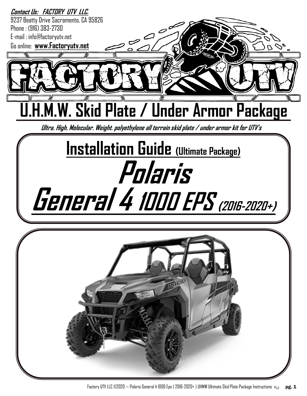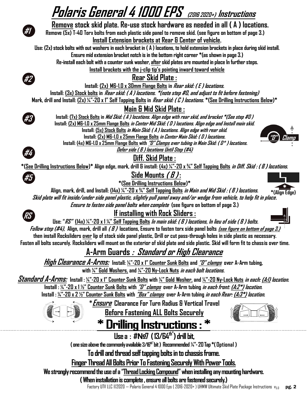# **Polaris General 4 1000 EPS (2016 2020+) Instructions**

#### **Remove stock skid plate. Re-use stock hardware as needed in all ( A ) locations.**

**Remove (5x) T-40 Torx bolts from each plastic side panel to remove skid. (see figure on bottom of page 3.) Install Extension brackets at Rear & Center of vehicle.** 

**Use: (2x) stock bolts with out washers in each bracket in ( A ) locations, to hold extension brackets in place during skid install. Ensure mid extension bracket notch is in the bottom right corner \*(as shown in page 3.)** 

**Re-install each bolt with a counter sunk washer, afterskid plates are mounted in place In further steps.** 

**Install brackets with the j-clip tip's pointing inward toward vehicle** 

#### **Rear Skid Plate :**

**Install: (2x) M6-1.0 x 30mm Flange Bolts in Rear skid: ( E ) locations.** 

**Install: (3x) Stock bolts in Rear skid: ( A ) locations. \*(note step #0, and adjust to fit before fastening)**

**Mark, drill and Install: (2x) ¼"-20 x 1" Self Tapping Bolts in Rear skid: ( C ) locations. \*(See Drilling Instructions Below)\*** 

### **Main & Mid Skid Plate :**

**Install: (7x) Stock Bolts in Mid Skid: ( A ) locations. Align edge with rear skid, and bracket \*(See step #0 ) Install: (2x) M6-1.0 x 25mm Flange Bolts in Center Mid Skid: ( D ) locations. Align edge and Install main skid. Install: (5x) Stock Bolts in Main Skid: ( A ) locations. Align edge with rear skid. Install: (2x) M6-1.0 x 25mm Flange Bolts in Center Main Skid: ( D ) locations. Install: (4x) M6-1.0 x 25mm Flange Bolts with "D" Clamps over tubing in Main Skid: ( D\* ) locations.**

**Defer side ( B ) locations Until Step (#4)**



**#5**

**RS**

**#3**

#### **Diff. Skid Plate :**

**\*(See Drilling Instructions Below)\* Align edge, mark, drill & install: (4x) ¼"-20 x ¾" Self Tapping Bolts in Diff. Skid : ( B ) locations.** 

#### **Side Mounts ( B ) :**



**Align, mark, drill, and Install: (14x) ¼"-20 x ¾" Self Tapping Bolts in Main and Mid Skid : ( B ) locations.** 

**Skid plate will fit inside/under side panel plastic, slightly pull panel away and/or wedge from vehicle, to help fit in place. Ensure to fasten side panel bolts when complete (see figure on bottom of page 3.)** 

**If installing with Rock Sliders :**



**Use: "RS" (14x) ¼"-20 x 1 ¼" Self Tapping Bolts In main skid: ( B ) locations, In lieu of side ( B ) bolts.** 

**Follow step (#4), Align, mark, drill all ( B ) locations, Ensure to fasten torx side panel bolts (see figure on bottom of page 3.) then install Rocksliders over lip of stock side panel plastic, Drill or cut pass-through holes in side plastic as necessary. Fasten all bolts securely. Rocksliders will mount on the exterior of skid plate and side plastic. Skid will form fit to chassis over time.**

## **A-Arm Guards : Standard or High Clearance**

**High Clearance A-Arms: Install: ¼"-20 x 1" Counter Sunk Bolts and "D" clamps over A-Arm tubing, with ¼" Gold Washers, and ¼"-20 Ny-Lock Nuts in each bolt locations.**

**Standard A-Arms: Install : ¼"-20 x 1" Counter Sunk Bolts with ¼" Gold Washer, and ¼"-20 Ny-Lock Nuts in each: (A:1) location.**

**Install : ¼"-20 x 1 ½" Counter Sunk Bolts with "D" clamps over A-Arm tubing in each front: (A:2\*) location.** 

**Install : ¼"-20 x 2 ½" Counter Sunk Bolts with "Box" clamps over A-Arm tubing in each Rear: (A:3\*) location.**

**\*Ensure Clearance For Turn Radius & Vertical Travel** 



**Before Fastening ALL Bolts Securely** 



\* Drilling Instructions: \*

**Use a : #№7 ( 13/64th") drill bit,** 

**( one size above the commonly available 3/16th" bit ) Recommended ¼"-20 Tap \*( Optional )**

**To drill and thread self tapping bolts in to chassis frame.** 

**Finger Thread All Bolts Prior To Fastening Securely With Power Tools.** 

**We strongly recommend the use of a "Thread Locking Compound" when installing any mounting hardware.**

**( When installation is complete , ensure all bolts are fastened securely.)**

Factory UTV LLC @2020 — Polaris General 4 1000 Eps (2016-2020+) UHMW Ultimate Skid Plate Package Instructions  $v_{5.0}$  pg. 2





**#2**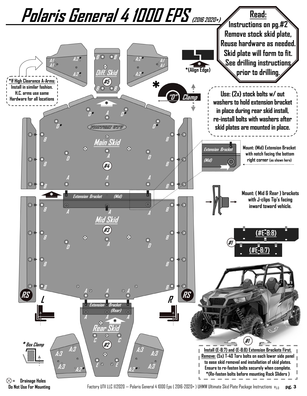

**Do Not Use For Mounting**